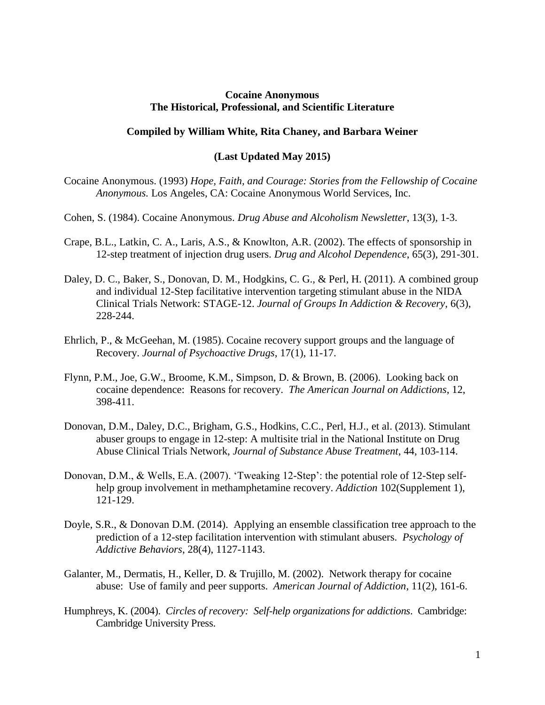## **Cocaine Anonymous The Historical, Professional, and Scientific Literature**

## **Compiled by William White, Rita Chaney, and Barbara Weiner**

## **(Last Updated May 2015)**

Cocaine Anonymous. (1993) *Hope, Faith, and Courage: Stories from the Fellowship of Cocaine Anonymous.* Los Angeles, CA: Cocaine Anonymous World Services, Inc.

- Cohen, S. (1984). Cocaine Anonymous. *Drug Abuse and Alcoholism Newsletter*, 13(3), 1-3.
- Crape, B.L., Latkin, C. A., Laris, A.S., & Knowlton, A.R. (2002). The effects of sponsorship in 12-step treatment of injection drug users. *Drug and Alcohol Dependence*, 65(3), 291-301.
- Daley, D. C., Baker, S., Donovan, D. M., Hodgkins, C. G., & Perl, H. (2011). A combined group and individual 12-Step facilitative intervention targeting stimulant abuse in the NIDA Clinical Trials Network: STAGE-12. *Journal of Groups In Addiction & Recovery*, 6(3), 228-244.
- Ehrlich, P., & McGeehan, M. (1985). Cocaine recovery support groups and the language of Recovery. *Journal of Psychoactive Drugs*, 17(1), 11-17.
- Flynn, P.M., Joe, G.W., Broome, K.M., Simpson, D. & Brown, B. (2006). Looking back on cocaine dependence: Reasons for recovery. *The American Journal on Addictions*, 12, 398-411.
- Donovan, D.M., Daley, D.C., Brigham, G.S., Hodkins, C.C., Perl, H.J., et al. (2013). Stimulant abuser groups to engage in 12-step: A multisite trial in the National Institute on Drug Abuse Clinical Trials Network, *Journal of Substance Abuse Treatment*, 44, 103-114.
- Donovan, D.M., & Wells, E.A. (2007). 'Tweaking 12-Step': the potential role of 12-Step selfhelp group involvement in methamphetamine recovery. *Addiction* 102(Supplement 1), 121-129.
- Doyle, S.R., & Donovan D.M. (2014). Applying an ensemble classification tree approach to the prediction of a 12-step facilitation intervention with stimulant abusers. *Psychology of Addictive Behaviors*, 28(4), 1127-1143.
- Galanter, M., Dermatis, H., Keller, D. & Trujillo, M. (2002). Network therapy for cocaine abuse: Use of family and peer supports. *American Journal of Addiction*, 11(2), 161-6.
- Humphreys, K. (2004). *Circles of recovery: Self-help organizations for addictions*. Cambridge: Cambridge University Press.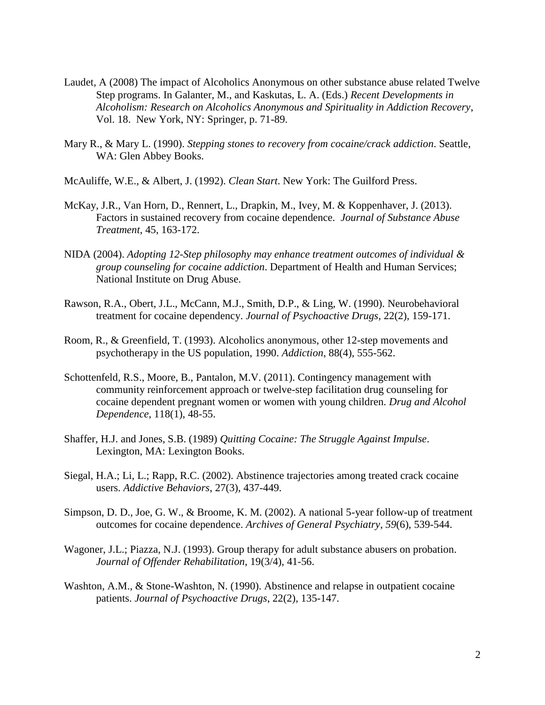- Laudet, A (2008) The impact of Alcoholics Anonymous on other substance abuse related Twelve Step programs. In Galanter, M., and Kaskutas, L. A. (Eds.) *Recent Developments in Alcoholism: Research on Alcoholics Anonymous and Spirituality in Addiction Recovery*, Vol. 18. New York, NY: Springer, p. 71-89.
- Mary R., & Mary L. (1990). *Stepping stones to recovery from cocaine/crack addiction*. Seattle, WA: Glen Abbey Books.
- McAuliffe, W.E., & Albert, J. (1992). *Clean Start*. New York: The Guilford Press.
- McKay, J.R., Van Horn, D., Rennert, L., Drapkin, M., Ivey, M. & Koppenhaver, J. (2013). Factors in sustained recovery from cocaine dependence. *Journal of Substance Abuse Treatment*, 45, 163-172.
- NIDA (2004). *Adopting 12-Step philosophy may enhance treatment outcomes of individual & group counseling for cocaine addiction*. Department of Health and Human Services; National Institute on Drug Abuse.
- Rawson, R.A., Obert, J.L., McCann, M.J., Smith, D.P., & Ling, W. (1990). Neurobehavioral treatment for cocaine dependency. *Journal of Psychoactive Drugs*, 22(2), 159-171.
- Room, R., & Greenfield, T. (1993). Alcoholics anonymous, other 12-step movements and psychotherapy in the US population, 1990. *Addiction*, 88(4), 555-562.
- Schottenfeld, R.S., Moore, B., Pantalon, M.V. (2011). Contingency management with community reinforcement approach or twelve-step facilitation drug counseling for cocaine dependent pregnant women or women with young children. *Drug and Alcohol Dependence*, 118(1), 48-55.
- Shaffer, H.J. and Jones, S.B. (1989) *Quitting Cocaine: The Struggle Against Impulse*. Lexington, MA: Lexington Books.
- Siegal, H.A.; Li, L.; Rapp, R.C. (2002). Abstinence trajectories among treated crack cocaine users. *Addictive Behaviors*, 27(3), 437-449.
- Simpson, D. D., Joe, G. W., & Broome, K. M. (2002). A national 5-year follow-up of treatment outcomes for cocaine dependence. *Archives of General Psychiatry*, *59*(6), 539-544.
- Wagoner, J.L.; Piazza, N.J. (1993). Group therapy for adult substance abusers on probation. *Journal of Offender Rehabilitation*, 19(3/4), 41-56.
- Washton, A.M., & Stone-Washton, N. (1990). Abstinence and relapse in outpatient cocaine patients. *Journal of Psychoactive Drugs*, 22(2), 135-147.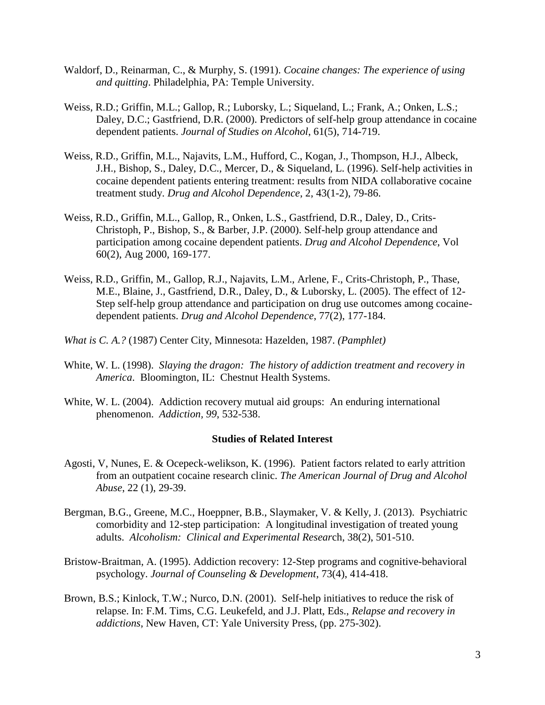- Waldorf, D., Reinarman, C., & Murphy, S. (1991). *Cocaine changes: The experience of using and quitting*. Philadelphia, PA: Temple University.
- Weiss, R.D.; Griffin, M.L.; Gallop, R.; Luborsky, L.; Siqueland, L.; Frank, A.; Onken, L.S.; Daley, D.C.; Gastfriend, D.R. (2000). Predictors of self-help group attendance in cocaine dependent patients. *Journal of Studies on Alcohol*, 61(5), 714-719.
- Weiss, R.D., Griffin, M.L., Najavits, L.M., Hufford, C., Kogan, J., Thompson, H.J., Albeck, J.H., Bishop, S., Daley, D.C., Mercer, D., & Siqueland, L. (1996). Self-help activities in cocaine dependent patients entering treatment: results from NIDA collaborative cocaine treatment study. *Drug and Alcohol Dependence*, 2, 43(1-2), 79-86.
- Weiss, R.D., Griffin, M.L., Gallop, R., Onken, L.S., Gastfriend, D.R., Daley, D., Crits-Christoph, P., Bishop, S., & Barber, J.P. (2000). Self-help group attendance and participation among cocaine dependent patients. *Drug and Alcohol Dependence*, Vol 60(2), Aug 2000, 169-177.
- Weiss, R.D., Griffin, M., Gallop, R.J., Najavits, L.M., Arlene, F., Crits-Christoph, P., Thase, M.E., Blaine, J., Gastfriend, D.R., Daley, D., & Luborsky, L. (2005). The effect of 12- Step self-help group attendance and participation on drug use outcomes among cocainedependent patients. *Drug and Alcohol Dependence*, 77(2), 177-184.
- *What is C. A.?* (1987) Center City, Minnesota: Hazelden, 1987. *(Pamphlet)*
- White, W. L. (1998). *Slaying the dragon: The history of addiction treatment and recovery in America*. Bloomington, IL: Chestnut Health Systems.
- White, W. L. (2004). Addiction recovery mutual aid groups: An enduring international phenomenon. *Addiction, 99*, 532-538.

## **Studies of Related Interest**

- [Agosti,](http://informahealthcare.com/action/doSearch?Contrib=Agosti%2C+V) V, [Nunes,](http://informahealthcare.com/action/doSearch?Contrib=Nunes%2C+E) E. & [Ocepeck-welikson,](http://informahealthcare.com/action/doSearch?Contrib=Ocepeck-welikson%2C+K) K. (1996). Patient factors related to early attrition from an outpatient cocaine research clinic. *The American Journal of Drug and Alcohol Abuse*, 22 (1), 29-39.
- Bergman, B.G., Greene, M.C., Hoeppner, B.B., Slaymaker, V. & Kelly, J. (2013). Psychiatric comorbidity and 12-step participation: A longitudinal investigation of treated young adults. *Alcoholism: Clinical and Experimental Resear*ch, 38(2), 501-510.
- Bristow-Braitman, A. (1995). Addiction recovery: 12-Step programs and cognitive-behavioral psychology. *Journal of Counseling & Development*, 73(4), 414-418.
- Brown, B.S.; Kinlock, T.W.; Nurco, D.N. (2001). Self-help initiatives to reduce the risk of relapse. In: F.M. Tims, C.G. Leukefeld, and J.J. Platt, Eds., *Relapse and recovery in addictions*, New Haven, CT: Yale University Press, (pp. 275-302).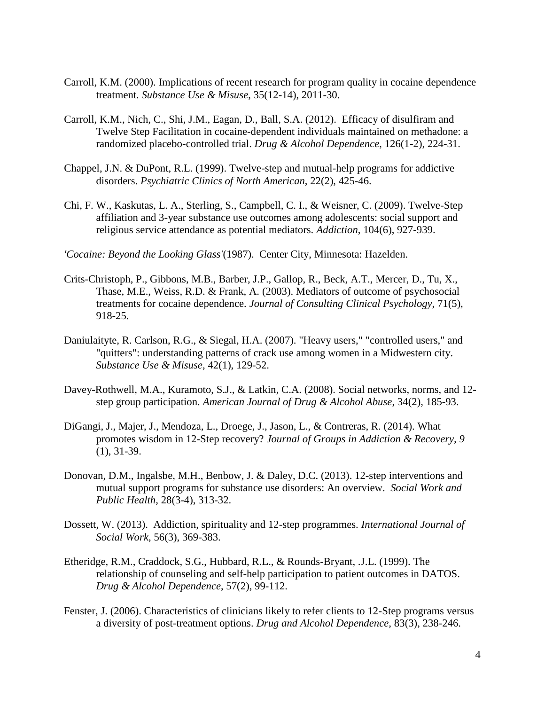- Carroll, K.M. (2000). [Implications of recent research for program quality in cocaine dependence](http://www.ncbi.nlm.nih.gov/pubmed/11138715)  [treatment.](http://www.ncbi.nlm.nih.gov/pubmed/11138715) *Substance Use & Misuse*, 35(12-14), 2011-30.
- Carroll, K.M., Nich, C., Shi, J.M., Eagan, D., Ball, S.A. (2012). [Efficacy of disulfiram and](http://www.ncbi.nlm.nih.gov/pubmed/22695473)  [Twelve Step Facilitation in cocaine-dependent individuals maintained on methadone: a](http://www.ncbi.nlm.nih.gov/pubmed/22695473)  [randomized placebo-controlled trial.](http://www.ncbi.nlm.nih.gov/pubmed/22695473) *Drug & Alcohol Dependence*, 126(1-2), 224-31.
- Chappel, J.N. & DuPont, R.L. (1999). [Twelve-step and mutual-help programs](http://www.ncbi.nlm.nih.gov/pubmed/10385942) for addictive [disorders.](http://www.ncbi.nlm.nih.gov/pubmed/10385942) *Psychiatric Clinics of North American*, 22(2), 425-46.
- Chi, F. W., Kaskutas, L. A., Sterling, S., Campbell, C. I., & Weisner, C. (2009). Twelve-Step affiliation and 3-year substance use outcomes among adolescents: social support and religious service attendance as potential mediators. *Addiction*, 104(6), 927-939.
- *'Cocaine: Beyond the Looking Glass'*(1987). Center City, Minnesota: Hazelden.
- Crits-Christoph, P., Gibbons, M.B., Barber, J.P., Gallop, R., Beck, A.T., Mercer, D., Tu, X., Thase, M.E., Weiss, R.D. & Frank, A. (2003). [Mediators of outcome of psychosocial](http://www.ncbi.nlm.nih.gov/pubmed/14516240)  [treatments for cocaine dependence.](http://www.ncbi.nlm.nih.gov/pubmed/14516240) *Journal of Consulting Clinical Psychology*, 71(5), 918-25.
- Daniulaityte, R. Carlson, R.G., & Siegal, H.A. (2007). ["Heavy users," "controlled users," and](http://www.ncbi.nlm.nih.gov/pubmed/17366129)  ["quitters": understanding patterns of crack use among women in a Midwestern](http://www.ncbi.nlm.nih.gov/pubmed/17366129) city. *Substance Use & Misuse*, 42(1), 129-52.
- Davey-Rothwell, M.A., Kuramoto, S.J., & Latkin, C.A. (2008). [Social networks, norms, and 12](http://www.ncbi.nlm.nih.gov/pubmed/18293235) [step group participation.](http://www.ncbi.nlm.nih.gov/pubmed/18293235) *American Journal of Drug & Alcohol Abuse*, 34(2), 185-93.
- DiGangi, J., Majer, J., Mendoza, L., Droege, J., Jason, L., & Contreras, R. (2014). What promotes wisdom in 12-Step recovery? *Journal of Groups in Addiction & Recovery, 9* (1), 31-39.
- Donovan, D.M., [Ingalsbe, M.H.](http://www.ncbi.nlm.nih.gov/pubmed?term=Ingalsbe%20MH%5BAuthor%5D&cauthor=true&cauthor_uid=23731422), [Benbow, J.](http://www.ncbi.nlm.nih.gov/pubmed?term=Benbow%20J%5BAuthor%5D&cauthor=true&cauthor_uid=23731422) & [Daley, D.C.](http://www.ncbi.nlm.nih.gov/pubmed?term=Daley%20DC%5BAuthor%5D&cauthor=true&cauthor_uid=23731422) (2013). 12-step interventions and mutual support programs for substance use disorders: An overview. *Social Work and Public Health*, 28(3-4), 313-32.
- Dossett, W. (2013). Addiction, spirituality and 12-step programmes. *International Journal of Social Work*, 56(3), 369-383.
- Etheridge, R.M., Craddock, S.G., Hubbard, R.L., & Rounds-Bryant, .J.L. (1999). [The](http://www.ncbi.nlm.nih.gov/pubmed/10617095)  [relationship of counseling and self-help participation to patient outcomes in DATOS.](http://www.ncbi.nlm.nih.gov/pubmed/10617095) *Drug & Alcohol Dependence*, 57(2), 99-112.
- Fenster, J. (2006). Characteristics of clinicians likely to refer clients to 12-Step programs versus a diversity of post-treatment options. *Drug and Alcohol Dependence*, 83(3), 238-246.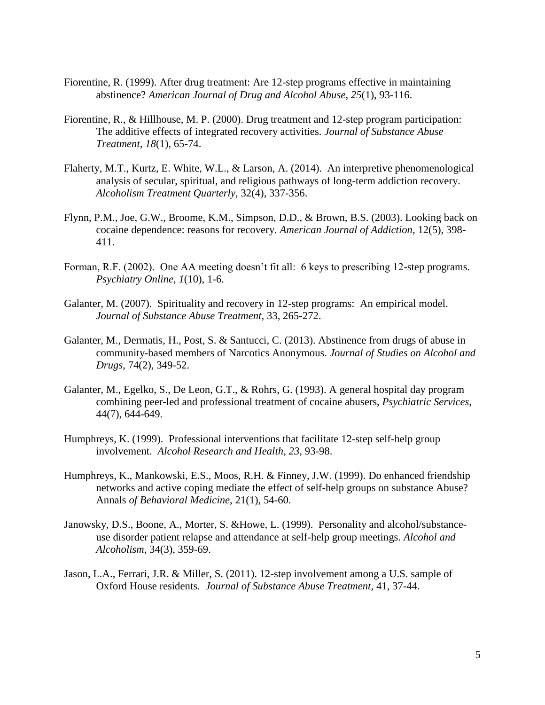- Fiorentine, R. (1999). After drug treatment: Are 12-step programs effective in maintaining abstinence? *American Journal of Drug and Alcohol Abuse*, *25*(1), 93-116.
- Fiorentine, R., & Hillhouse, M. P. (2000). Drug treatment and 12-step program participation: The additive effects of integrated recovery activities. *Journal of Substance Abuse Treatment*, *18*(1), 65-74.
- Flaherty, M.T., Kurtz, E. White, W.L., & Larson, A. (2014). An interpretive phenomenological analysis of secular, spiritual, and religious pathways of long-term addiction recovery. *Alcoholism Treatment Quarterly*, 32(4), 337-356.
- Flynn, P.M., Joe, G.W., Broome, K.M., Simpson, D.D., & Brown, B.S. (2003). [Looking back on](http://www.ncbi.nlm.nih.gov/pubmed/14660154)  [cocaine dependence: reasons for recovery.](http://www.ncbi.nlm.nih.gov/pubmed/14660154) *American Journal of Addiction*, 12(5), 398- 411.
- Forman, R.F. (2002). One AA meeting doesn't fit all: 6 keys to prescribing 12-step programs. *Psychiatry Online*, *1*(10), 1-6.
- Galanter, M. (2007). Spirituality and recovery in 12-step programs: An empirical model. *Journal of Substance Abuse Treatment*, 33, 265-272.
- Galanter, M., Dermatis, H., Post, S. & Santucci, C. (2013). [Abstinence from drugs of abuse in](http://www.ncbi.nlm.nih.gov/pubmed/23384383)  [community-based members of Narcotics Anonymous.](http://www.ncbi.nlm.nih.gov/pubmed/23384383) *Journal of Studies on Alcohol and Drugs*, 74(2), 349-52.
- Galanter, M., Egelko, S., De Leon, G.T., & Rohrs, G. (1993). A general hospital day program combining peer-led and professional treatment of cocaine abusers, *Psychiatric Services*, 44(7), 644-649.
- Humphreys, K. (1999). Professional interventions that facilitate 12-step self-help group involvement. *Alcohol Research and Health*, *23*, 93-98.
- Humphreys, K., Mankowski, E.S., Moos, R.H. & Finney, J.W. (1999). Do enhanced friendship networks and active coping mediate the effect of self-help groups on substance Abuse? Annals *of Behavioral Medicine*, 21(1), 54-60.
- Janowsky, D.S., Boone, A., Morter, S. &Howe, L. (1999). [Personality and alcohol/substance](http://www.ncbi.nlm.nih.gov/pubmed/10414612)[use disorder patient relapse and attendance at self-help group meetings.](http://www.ncbi.nlm.nih.gov/pubmed/10414612) *Alcohol and Alcoholism*, 34(3), 359-69.
- Jason, L.A., Ferrari, J.R. & Miller, S. (2011). 12-step involvement among a U.S. sample of Oxford House residents. *Journal of Substance Abuse Treatment*, 41, 37-44.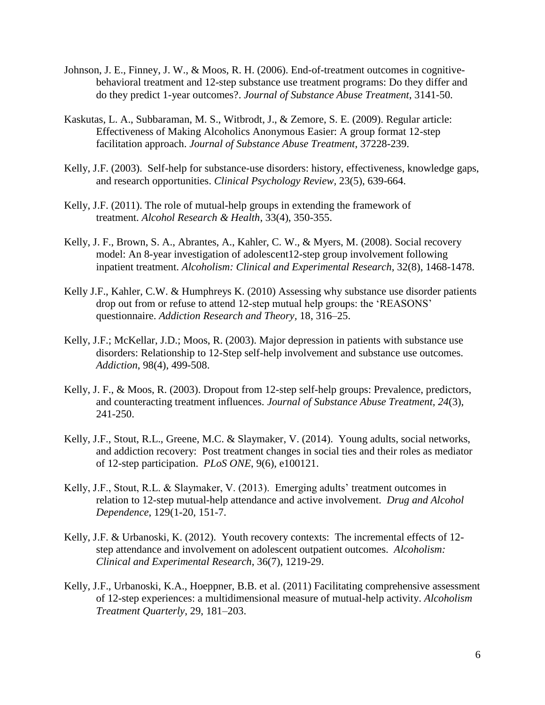- Johnson, J. E., Finney, J. W., & Moos, R. H. (2006). End-of-treatment outcomes in cognitivebehavioral treatment and 12-step substance use treatment programs: Do they differ and do they predict 1-year outcomes?. *Journal of Substance Abuse Treatment*, 3141-50.
- Kaskutas, L. A., Subbaraman, M. S., Witbrodt, J., & Zemore, S. E. (2009). Regular article: Effectiveness of Making Alcoholics Anonymous Easier: A group format 12-step facilitation approach. *Journal of Substance Abuse Treatment*, 37228-239.
- Kelly, J.F. (2003). [Self-help for substance-use disorders: history, effectiveness, knowledge gaps,](http://web.a.ebscohost.com/ehost/viewarticle?data=dGJyMPPp44rp2%2fdV0%2bnjisfk5Ie46a9Itq%2b0SLCk63nn5Kx95uXxjL6rrUm2pbBIr6ueSbiqslKzrp5oy5zyit%2fk8Xnh6ueH7N%2fiVa%2bsr021qLBJr6akhN%2fk5VXj5KR84LPfiOac8nnls79mpNfsVa%2bmtUywprRLpNztiuvX8lXk6%2bqE8tv2jAAA&hid=4109)  [and research opportunities.](http://web.a.ebscohost.com/ehost/viewarticle?data=dGJyMPPp44rp2%2fdV0%2bnjisfk5Ie46a9Itq%2b0SLCk63nn5Kx95uXxjL6rrUm2pbBIr6ueSbiqslKzrp5oy5zyit%2fk8Xnh6ueH7N%2fiVa%2bsr021qLBJr6akhN%2fk5VXj5KR84LPfiOac8nnls79mpNfsVa%2bmtUywprRLpNztiuvX8lXk6%2bqE8tv2jAAA&hid=4109) *Clinical Psychology Review,* 23(5), 639-664.
- Kelly, J.F. (2011). The role of mutual-help groups in extending the framework of treatment. *Alcohol Research & Health*, 33(4), 350-355.
- Kelly, J. F., Brown, S. A., Abrantes, A., Kahler, C. W., & Myers, M. (2008). Social recovery model: An 8-year investigation of adolescent12-step group involvement following inpatient treatment. *Alcoholism: Clinical and Experimental Research*, 32(8), 1468-1478.
- Kelly J.F., Kahler, C.W. & Humphreys K. (2010) Assessing why substance use disorder patients drop out from or refuse to attend 12-step mutual help groups: the 'REASONS' questionnaire. *Addiction Research and Theory,* 18, 316–25.
- Kelly, J.F.; McKellar, J.D.; Moos, R. (2003). Major depression in patients with substance use disorders: Relationship to 12-Step self-help involvement and substance use outcomes. *Addiction*, 98(4), 499-508.
- Kelly, J. F., & Moos, R. (2003). Dropout from 12-step self-help groups: Prevalence, predictors, and counteracting treatment influences. *Journal of Substance Abuse Treatment, 24*(3), 241-250.
- Kelly, J.F., Stout, R.L., Greene, M.C. & Slaymaker, V. (2014). Young adults, social networks, and addiction recovery: Post treatment changes in social ties and their roles as mediator of 12-step participation. *PLoS ONE*, 9(6), e100121.
- Kelly, J.F., Stout, R.L. & Slaymaker, V. (2013). Emerging adults' treatment outcomes in relation to 12-step mutual-help attendance and active involvement. *Drug and Alcohol Dependence*, 129(1-20, 151-7.
- Kelly, J.F. & Urbanoski, K. (2012). Youth recovery contexts: The incremental effects of 12 step attendance and involvement on adolescent outpatient outcomes. *Alcoholism: Clinical and Experimental Research*, 36(7), 1219-29.
- Kelly, J.F., Urbanoski, K.A., Hoeppner, B.B. et al. (2011) Facilitating comprehensive assessment of 12-step experiences: a multidimensional measure of mutual-help activity. *Alcoholism Treatment Quarterly*, 29, 181–203.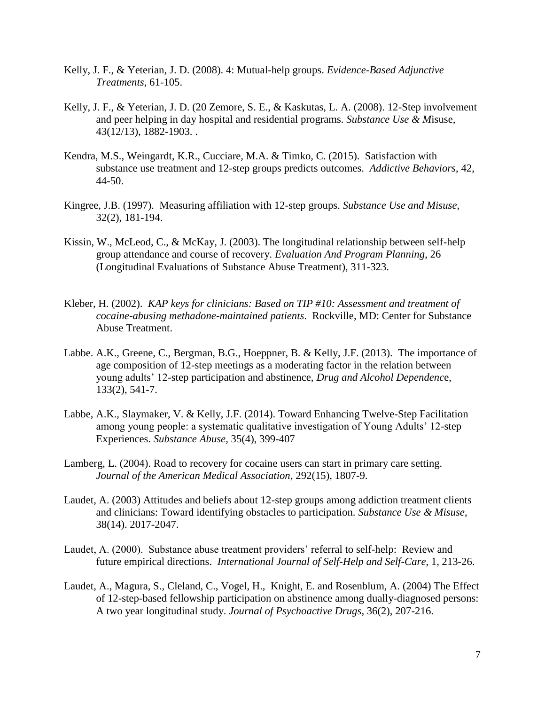- Kelly, J. F., & Yeterian, J. D. (2008). 4: Mutual-help groups. *Evidence-Based Adjunctive Treatments*, 61-105.
- Kelly, J. F., & Yeterian, J. D. (20 Zemore, S. E., & Kaskutas, L. A. (2008). 12-Step involvement and peer helping in day hospital and residential programs. *Substance Use & M*isuse, 43(12/13), 1882-1903. .
- Kendra, M.S., Weingardt, K.R., Cucciare, M.A. & Timko, C. (2015). Satisfaction with substance use treatment and 12-step groups predicts outcomes. *Addictive Behaviors*, 42, 44-50.
- Kingree, J.B. (1997). Measuring affiliation with 12-step groups. *Substance Use and Misuse*, 32(2), 181-194.
- Kissin, W., McLeod, C., & McKay, J. (2003). The longitudinal relationship between self-help group attendance and course of recovery. *Evaluation And Program Planning*, 26 (Longitudinal Evaluations of Substance Abuse Treatment), 311-323.
- Kleber, H. (2002). *KAP keys for clinicians: Based on TIP #10: Assessment and treatment of cocaine-abusing methadone-maintained patients*. Rockville, MD: Center for Substance Abuse Treatment.
- Labbe. A.K., Greene, C., Bergman, B.G., Hoeppner, B. & Kelly, J.F. (2013). The importance of age composition of 12-step meetings as a moderating factor in the relation between young adults' 12-step participation and abstinence, *Drug and Alcohol Dependenc*e, 133(2), 541-7.
- Labbe, A.K., Slaymaker, V. & Kelly, J.F. (2014). Toward Enhancing Twelve-Step Facilitation among young people: a systematic qualitative investigation of Young Adults' 12-step Experiences. *Substance Abuse,* 35(4), 399-407
- Lamberg, L. (2004). [Road to recovery for cocaine users can start in primary care setting.](http://www.ncbi.nlm.nih.gov/pubmed/15494565) *Journal of the American Medical Association*, 292(15), 1807-9.
- Laudet, A. (2003) Attitudes and beliefs about 12-step groups among addiction treatment clients and clinicians: Toward identifying obstacles to participation. *Substance Use & Misuse*, 38(14). 2017-2047.
- Laudet, A. (2000). Substance abuse treatment providers' referral to self-help: Review and future empirical directions. *International Journal of Self-Help and Self-Care*, 1, 213-26.
- Laudet, A., Magura, S., Cleland, C., Vogel, H., Knight, E. and Rosenblum, A. (2004) The Effect of 12-step-based fellowship participation on abstinence among dually-diagnosed persons: A two year longitudinal study. *Journal of Psychoactive Drugs*, 36(2), 207-216.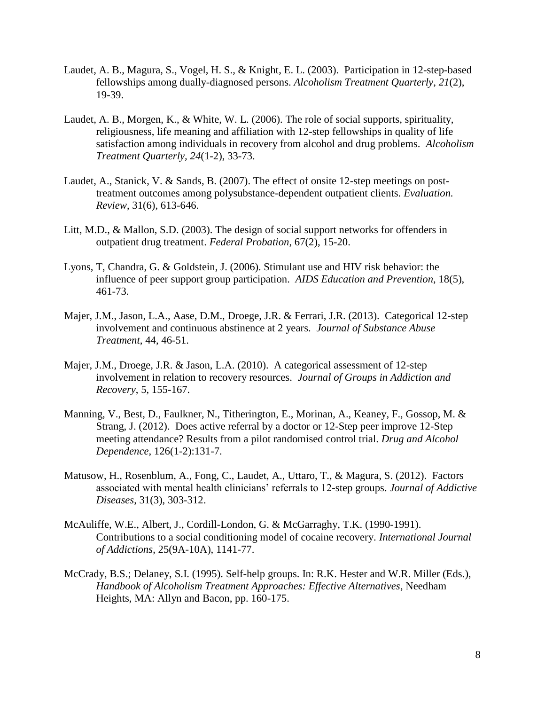- Laudet, A. B., Magura, S., Vogel, H. S., & Knight, E. L. (2003). Participation in 12-step-based fellowships among dually-diagnosed persons. *Alcoholism Treatment Quarterly*, *21*(2), 19-39.
- Laudet, A. B., Morgen, K., & White, W. L. (2006). The role of social supports, spirituality, religiousness, life meaning and affiliation with 12-step fellowships in quality of life satisfaction among individuals in recovery from alcohol and drug problems. *Alcoholism Treatment Quarterly, 24*(1-2), 33-73.
- Laudet, A., Stanick, V. & Sands, B. (2007). The effect of onsite 12-step meetings on posttreatment outcomes among polysubstance-dependent outpatient clients. *Evaluation. Review*, 31(6), 613-646.
- Litt, M.D., & Mallon, S.D. (2003). The design of social support networks for offenders in outpatient drug treatment. *Federal Probation*, 67(2), 15-20.
- Lyons, T, Chandra, G. & Goldstein, J. (2006). [Stimulant use and HIV risk behavior: the](http://www.ncbi.nlm.nih.gov/pubmed/17067256)  [influence of peer support group participation.](http://www.ncbi.nlm.nih.gov/pubmed/17067256) *AIDS Education and Prevention*, 18(5), 461-73.
- Majer, J.M., Jason, L.A., Aase, D.M., Droege, J.R. & Ferrari, J.R. (2013). Categorical 12-step involvement and continuous abstinence at 2 years. *Journal of Substance Abuse Treatment*, 44, 46-51.
- Majer, J.M., Droege, J.R. & Jason, L.A. (2010). A categorical assessment of 12-step involvement in relation to recovery resources. *Journal of Groups in Addiction and Recovery*, 5, 155-167.
- Manning, V., Best, D., Faulkner, N., Titherington, E., Morinan, A., Keaney, F., Gossop, M. & Strang, J. (2012). [Does active referral by a doctor or 12-Step peer improve 12-Step](http://www.ncbi.nlm.nih.gov/pubmed/22677458)  [meeting attendance? Results from a pilot randomised](http://www.ncbi.nlm.nih.gov/pubmed/22677458) control trial. *Drug and Alcohol Dependence*, 126(1-2):131-7.
- Matusow, H., Rosenblum, A., Fong, C., Laudet, A., Uttaro, T., & Magura, S. (2012). Factors associated with mental health clinicians' referrals to 12-step groups. *Journal of Addictive Diseases*, 31(3), 303-312.
- McAuliffe, W.E., Albert, J., Cordill-London, G. & McGarraghy, T.K. (1990-1991). [Contributions to a social conditioning model of cocaine recovery.](http://www.ncbi.nlm.nih.gov/pubmed/1966681) *International Journal of Addictions*, 25(9A-10A), 1141-77.
- McCrady, B.S.; Delaney, S.I. (1995). Self-help groups. In: R.K. Hester and W.R. Miller (Eds.), *Handbook of Alcoholism Treatment Approaches: Effective Alternatives*, Needham Heights, MA: Allyn and Bacon, pp. 160-175.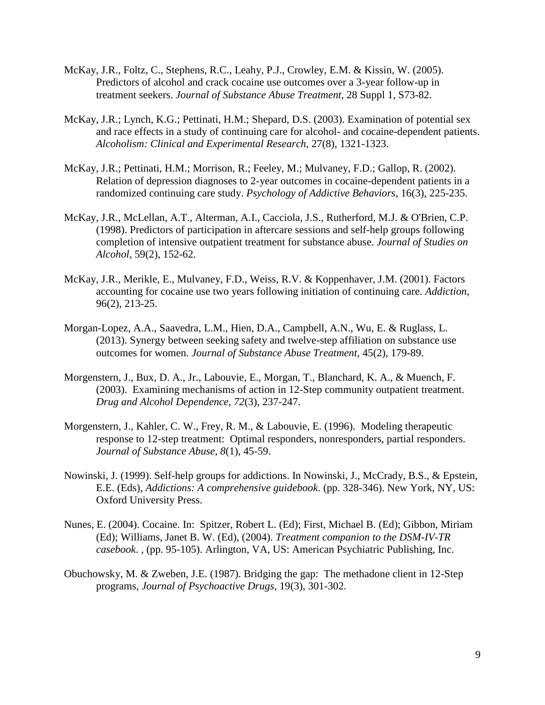- McKay, J.R., Foltz, C., Stephens, R.C., Leahy, P.J., Crowley, E.M. & Kissin, W. (2005). [Predictors of alcohol and crack cocaine use outcomes over a 3-year follow-up in](http://www.ncbi.nlm.nih.gov/pubmed/15797641)  [treatment seekers.](http://www.ncbi.nlm.nih.gov/pubmed/15797641) *Journal of Substance Abuse Treatment*, 28 Suppl 1, S73-82.
- McKay, J.R.; Lynch, K.G.; Pettinati, H.M.; Shepard, D.S. (2003). Examination of potential sex and race effects in a study of continuing care for alcohol- and cocaine-dependent patients. *Alcoholism: Clinical and Experimental Research*, 27(8), 1321-1323.
- McKay, J.R.; Pettinati, H.M.; Morrison, R.; Feeley, M.; Mulvaney, F.D.; Gallop, R. (2002). Relation of depression diagnoses to 2-year outcomes in cocaine-dependent patients in a randomized continuing care study. *Psychology of Addictive Behaviors*, 16(3), 225-235.
- McKay, J.R., McLellan, A.T., Alterman, A.I., Cacciola, J.S., Rutherford, M.J. & O'Brien, C.P. (1998). [Predictors of participation in aftercare sessions and self-help groups following](http://www.ncbi.nlm.nih.gov/pubmed/9500302)  [completion of intensive outpatient treatment for substance abuse.](http://www.ncbi.nlm.nih.gov/pubmed/9500302) *Journal of Studies on Alcohol*, 59(2), 152-62.
- McKay, J.R., Merikle, E., Mulvaney, F.D., Weiss, R.V. & Koppenhaver, J.M. (2001). [Factors](http://www.ncbi.nlm.nih.gov/pubmed/11182866)  [accounting for cocaine use two years following initiation of continuing care.](http://www.ncbi.nlm.nih.gov/pubmed/11182866) *Addiction*, 96(2), 213-25.
- Morgan-Lopez, A.A., Saavedra, L.M., Hien, D.A., Campbell, A.N., Wu, E. & Ruglass, L. (2013). [Synergy between seeking safety and twelve-step affiliation on substance use](http://www.ncbi.nlm.nih.gov/pubmed/23558158)  [outcomes for women.](http://www.ncbi.nlm.nih.gov/pubmed/23558158) *Journal of Substance Abuse Treatment*, 45(2), 179-89.
- Morgenstern, J., Bux, D. A., Jr., Labouvie, E., Morgan, T., Blanchard, K. A., & Muench, F. (2003). Examining mechanisms of action in 12-Step community outpatient treatment. *Drug and Alcohol Dependence*, *72*(3), 237-247.
- Morgenstern, J., Kahler, C. W., Frey, R. M., & Labouvie, E. (1996). Modeling therapeutic response to 12-step treatment: Optimal responders, nonresponders, partial responders. *Journal of Substance Abuse*, *8*(1), 45-59.
- Nowinski, J. (1999). Self-help groups for addictions. In Nowinski, J., McCrady, B.S., & Epstein, E.E. (Eds), *Addictions: A comprehensive guidebook*. (pp. 328-346). New York, NY, US: Oxford University Press.
- Nunes, E. (2004). [Cocaine.](http://psycnet.apa.org/index.cfm?fa=search.displayRecord&id=680685AF-0A18-425A-31C2-1BDD52024BEA&resultID=4&page=1&dbTab=all&search=true) In: Spitzer, Robert L. (Ed); First, Michael B. (Ed); Gibbon, Miriam (Ed); Williams, Janet B. W. (Ed), (2004). *Treatment companion to the DSM-IV-TR casebook*. , (pp. 95-105). Arlington, VA, US: American Psychiatric Publishing, Inc.
- Obuchowsky, M. & Zweben, J.E. (1987). Bridging the gap: The methadone client in 12-Step programs, *Journal of Psychoactive Drugs*, 19(3), 301-302.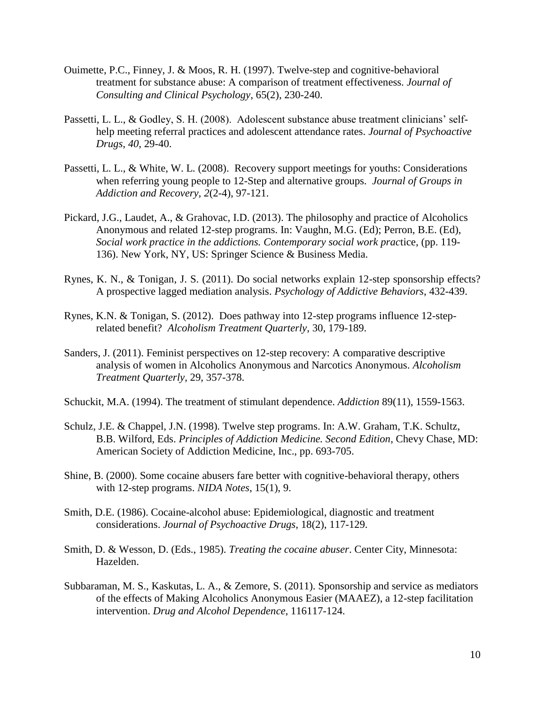- Ouimette, P.C., Finney, J. & Moos, R. H. (1997). Twelve-step and cognitive-behavioral treatment for substance abuse: A comparison of treatment effectiveness. *Journal of Consulting and Clinical Psychology*, 65(2), 230-240.
- Passetti, L. L., & Godley, S. H. (2008). Adolescent substance abuse treatment clinicians' selfhelp meeting referral practices and adolescent attendance rates. *Journal of Psychoactive Drugs, 40*, 29-40.
- Passetti, L. L., & White, W. L. (2008). Recovery support meetings for youths: Considerations when referring young people to 12-Step and alternative groups. *Journal of Groups in Addiction and Recovery, 2*(2-4), 97-121.
- Pickard, J.G., Laudet, A., & Grahovac, I.D. (2013). [The philosophy and practice of Alcoholics](http://psycnet.apa.org/index.cfm?fa=search.displayRecord&id=680685AF-0A18-425A-31C2-1BDD52024BEA&resultID=2&page=1&dbTab=all&search=true)  [Anonymous and related 12-step programs. I](http://psycnet.apa.org/index.cfm?fa=search.displayRecord&id=680685AF-0A18-425A-31C2-1BDD52024BEA&resultID=2&page=1&dbTab=all&search=true)n: Vaughn, M.G. (Ed); Perron, B.E. (Ed), *Social work practice in the addictions. Contemporary social work prac*tice, (pp. 119- 136). New York, NY, US: Springer Science & Business Media.
- Rynes, K. N., & Tonigan, J. S. (2011). Do social networks explain 12-step sponsorship effects? A prospective lagged mediation analysis. *Psychology of Addictive Behaviors*, 432-439.
- Rynes, K.N. & Tonigan, S. (2012). Does pathway into 12-step programs influence 12-steprelated benefit? *Alcoholism Treatment Quarterly*, 30, 179-189.
- Sanders, J. (2011). Feminist perspectives on 12-step recovery: A comparative descriptive analysis of women in Alcoholics Anonymous and Narcotics Anonymous. *Alcoholism Treatment Quarterly*, 29, 357-378.
- Schuckit, M.A. (1994). The treatment of stimulant dependence. *Addiction* 89(11), 1559-1563.
- Schulz, J.E. & Chappel, J.N. (1998). Twelve step programs. In: A.W. Graham, T.K. Schultz, B.B. Wilford, Eds. *Principles of Addiction Medicine. Second Edition*, Chevy Chase, MD: American Society of Addiction Medicine, Inc., pp. 693-705.
- Shine, B. (2000). Some cocaine abusers fare better with cognitive-behavioral therapy, others with 12-step programs. *NIDA Notes*, 15(1), 9.
- Smith, D.E. (1986). Cocaine-alcohol abuse: Epidemiological, diagnostic and treatment considerations. *Journal of Psychoactive Drugs*, 18(2), 117-129.
- Smith, D. & Wesson, D. (Eds., 1985). *Treating the cocaine abuser*. Center City, Minnesota: Hazelden.
- Subbaraman, M. S., Kaskutas, L. A., & Zemore, S. (2011). Sponsorship and service as mediators of the effects of Making Alcoholics Anonymous Easier (MAAEZ), a 12-step facilitation intervention. *Drug and Alcohol Dependence*, 116117-124.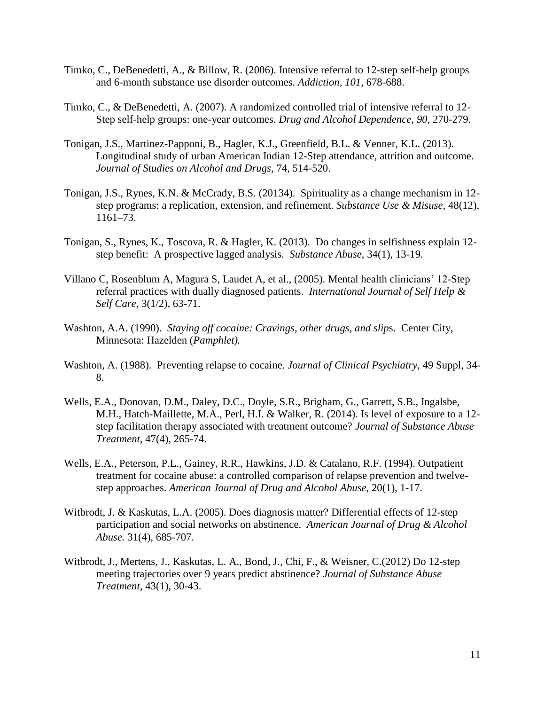- Timko, C., DeBenedetti, A., & Billow, R. (2006). Intensive referral to 12-step self-help groups and 6-month substance use disorder outcomes. *Addiction, 101*, 678-688.
- Timko, C., & DeBenedetti, A. (2007). A randomized controlled trial of intensive referral to 12- Step self-help groups: one-year outcomes. *Drug and Alcohol Dependence, 90,* 270-279.
- Tonigan, J.S., Martinez-Papponi, B., Hagler, K.J., Greenfield, B.L. & Venner, K.L. (2013). Longitudinal study of urban American Indian 12-Step attendance, attrition and outcome. *Journal of Studies on Alcohol and Drugs*, 74, 514-520.
- Tonigan, J.S., Rynes, K.N. & McCrady, B.S. (20134). Spirituality as a change mechanism in 12 step programs: a replication, extension, and refinement. *Substance Use & Misuse,* 48(12), 1161–73.
- Tonigan, S., Rynes, K., Toscova, R. & Hagler, K. (2013). Do changes in selfishness explain 12 step benefit: A prospective lagged analysis. *Substance Abuse*, 34(1), 13-19.
- Villano C, Rosenblum A, Magura S, Laudet A, et al., (2005). Mental health clinicians' 12-Step referral practices with dually diagnosed patients. *International Journal of Self Help & Self Care*, 3(1/2), 63-71.
- Washton, A.A. (1990). *Staying off cocaine: Cravings, other drugs, and slip*s. Center City, Minnesota: Hazelden (*Pamphlet).*
- Washton, A. (1988). [Preventing relapse to cocaine.](http://www.ncbi.nlm.nih.gov/pubmed/3257487) *Journal of Clinical Psychiatry*, 49 Suppl, 34- 8.
- Wells, E.A., Donovan, D.M., Daley, D.C., Doyle, S.R., Brigham, G., Garrett, S.B., Ingalsbe, M.H., Hatch-Maillette, M.A., Perl, H.I. & Walker, R. (2014). [Is level of exposure to a 12](http://www.ncbi.nlm.nih.gov/pubmed/25064421) [step facilitation therapy associated with treatment outcome?](http://www.ncbi.nlm.nih.gov/pubmed/25064421) *Journal of Substance Abuse Treatment*, 47(4), 265-74.
- Wells, E.A., Peterson, P.L., Gainey, R.R., Hawkins, J.D. & Catalano, R.F. (1994). [Outpatient](http://www.ncbi.nlm.nih.gov/pubmed/8192128)  [treatment for cocaine abuse: a controlled comparison of relapse prevention and twelve](http://www.ncbi.nlm.nih.gov/pubmed/8192128)[step approaches.](http://www.ncbi.nlm.nih.gov/pubmed/8192128) *American Journal of Drug and Alcohol Abuse*, 20(1), 1-17.
- Witbrodt, J. & Kaskutas, L.A. (2005). [Does diagnosis matter? Differential effects of 12-step](http://web.a.ebscohost.com/ehost/viewarticle?data=dGJyMPPp44rp2%2fdV0%2bnjisfk5Ie46a9Itq%2b0SLCk63nn5Kx95uXxjL6rrUm2pbBIr6ueSbiqslKzrp5oy5zyit%2fk8Xnh6ueH7N%2fiVa%2bsr021qLBJr6akhN%2fk5VXj5KR84LPfiOac8nnls79mpNfsVa%2but0i3prFOpNztiuvX8lXk6%2bqE8tv2jAAA&hid=4109)  [participation and social networks on abstinence.](http://web.a.ebscohost.com/ehost/viewarticle?data=dGJyMPPp44rp2%2fdV0%2bnjisfk5Ie46a9Itq%2b0SLCk63nn5Kx95uXxjL6rrUm2pbBIr6ueSbiqslKzrp5oy5zyit%2fk8Xnh6ueH7N%2fiVa%2bsr021qLBJr6akhN%2fk5VXj5KR84LPfiOac8nnls79mpNfsVa%2but0i3prFOpNztiuvX8lXk6%2bqE8tv2jAAA&hid=4109) *American Journal of Drug & Alcohol Abuse.* 31(4), 685-707.
- Witbrodt, J., Mertens, J., Kaskutas, L. A., Bond, J., Chi, F., & Weisner, C.(2012) Do 12-step meeting trajectories over 9 years predict abstinence? *Journal of Substance Abuse Treatment,* 43(1), 30-43.